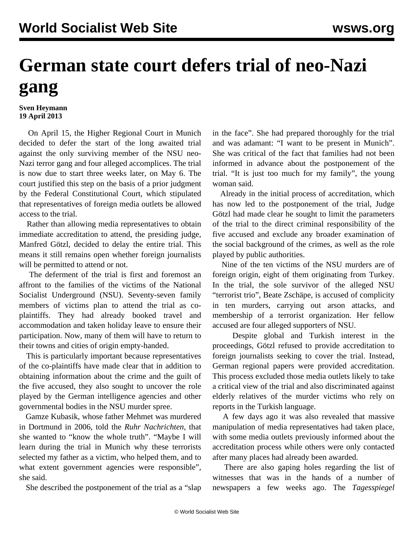## **German state court defers trial of neo-Nazi gang**

## **Sven Heymann 19 April 2013**

 On April 15, the Higher Regional Court in Munich decided to defer the start of the long awaited trial against the only surviving member of the NSU neo-Nazi terror gang and four alleged accomplices. The trial is now due to start three weeks later, on May 6. The court justified this step on the basis of a prior judgment by the Federal Constitutional Court, which stipulated that representatives of foreign media outlets be allowed access to the trial.

 Rather than allowing media representatives to obtain immediate accreditation to attend, the presiding judge, Manfred Götzl, decided to delay the entire trial. This means it still remains open whether foreign journalists will be permitted to attend or not.

 The deferment of the trial is first and foremost an affront to the families of the victims of the National Socialist Underground (NSU). Seventy-seven family members of victims plan to attend the trial as coplaintiffs. They had already booked travel and accommodation and taken holiday leave to ensure their participation. Now, many of them will have to return to their towns and cities of origin empty-handed.

 This is particularly important because representatives of the co-plaintiffs have made clear that in addition to obtaining information about the crime and the guilt of the five accused, they also sought to uncover the role played by the German intelligence agencies and other governmental bodies in the NSU murder spree.

 Gamze Kubasik, whose father Mehmet was murdered in Dortmund in 2006, told the *Ruhr Nachrichten*, that she wanted to "know the whole truth". "Maybe I will learn during the trial in Munich why these terrorists selected my father as a victim, who helped them, and to what extent government agencies were responsible", she said.

She described the postponement of the trial as a "slap

in the face". She had prepared thoroughly for the trial and was adamant: "I want to be present in Munich". She was critical of the fact that families had not been informed in advance about the postponement of the trial. "It is just too much for my family", the young woman said.

 Already in the initial process of accreditation, which has now led to the postponement of the trial, Judge Götzl had made clear he sought to limit the parameters of the trial to the direct criminal responsibility of the five accused and exclude any broader examination of the social background of the crimes, as well as the role played by public authorities.

 Nine of the ten victims of the NSU murders are of foreign origin, eight of them originating from Turkey. In the trial, the sole survivor of the alleged NSU "terrorist trio", Beate Zschäpe, is accused of complicity in ten murders, carrying out arson attacks, and membership of a terrorist organization. Her fellow accused are four alleged supporters of NSU.

 Despite global and Turkish interest in the proceedings, Götzl refused to provide accreditation to foreign journalists seeking to cover the trial. Instead, German regional papers were provided accreditation. This process excluded those media outlets likely to take a critical view of the trial and also discriminated against elderly relatives of the murder victims who rely on reports in the Turkish language.

 A few days ago it was also revealed that massive manipulation of media representatives had taken place, with some media outlets previously informed about the accreditation process while others were only contacted after many places had already been awarded.

 There are also gaping holes regarding the list of witnesses that was in the hands of a number of newspapers a few weeks ago. The *Tagesspiegel*